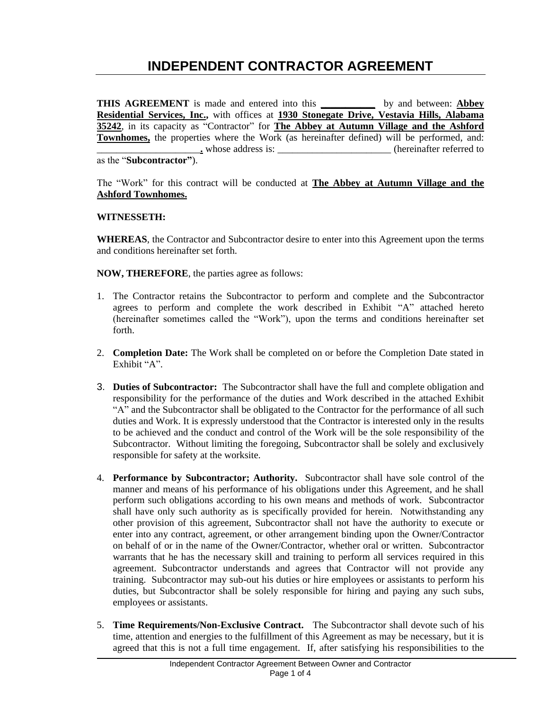# **INDEPENDENT CONTRACTOR AGREEMENT**

**THIS AGREEMENT** is made and entered into this **\_\_\_\_\_\_\_\_\_\_\_** by and between: **Abbey Residential Services, Inc.,** with offices at **1930 Stonegate Drive, Vestavia Hills, Alabama 35242**, in its capacity as "Contractor" for **The Abbey at Autumn Village and the Ashford Townhomes,** the properties where the Work (as hereinafter defined) will be performed, and:<br>whose address is:<br>(hereinafter referred to (hereinafter referred to as the "**Subcontractor"**).

The "Work" for this contract will be conducted at **The Abbey at Autumn Village and the Ashford Townhomes.** 

#### **WITNESSETH:**

**WHEREAS**, the Contractor and Subcontractor desire to enter into this Agreement upon the terms and conditions hereinafter set forth.

**NOW, THEREFORE**, the parties agree as follows:

- 1. The Contractor retains the Subcontractor to perform and complete and the Subcontractor agrees to perform and complete the work described in Exhibit "A" attached hereto (hereinafter sometimes called the "Work"), upon the terms and conditions hereinafter set forth.
- 2. **Completion Date:** The Work shall be completed on or before the Completion Date stated in Exhibit "A".
- 3. **Duties of Subcontractor:** The Subcontractor shall have the full and complete obligation and responsibility for the performance of the duties and Work described in the attached Exhibit "A" and the Subcontractor shall be obligated to the Contractor for the performance of all such duties and Work. It is expressly understood that the Contractor is interested only in the results to be achieved and the conduct and control of the Work will be the sole responsibility of the Subcontractor. Without limiting the foregoing, Subcontractor shall be solely and exclusively responsible for safety at the worksite.
- 4. **Performance by Subcontractor; Authority.** Subcontractor shall have sole control of the manner and means of his performance of his obligations under this Agreement, and he shall perform such obligations according to his own means and methods of work. Subcontractor shall have only such authority as is specifically provided for herein. Notwithstanding any other provision of this agreement, Subcontractor shall not have the authority to execute or enter into any contract, agreement, or other arrangement binding upon the Owner/Contractor on behalf of or in the name of the Owner/Contractor, whether oral or written. Subcontractor warrants that he has the necessary skill and training to perform all services required in this agreement. Subcontractor understands and agrees that Contractor will not provide any training. Subcontractor may sub-out his duties or hire employees or assistants to perform his duties, but Subcontractor shall be solely responsible for hiring and paying any such subs, employees or assistants.
- 5. **Time Requirements/Non-Exclusive Contract.** The Subcontractor shall devote such of his time, attention and energies to the fulfillment of this Agreement as may be necessary, but it is agreed that this is not a full time engagement. If, after satisfying his responsibilities to the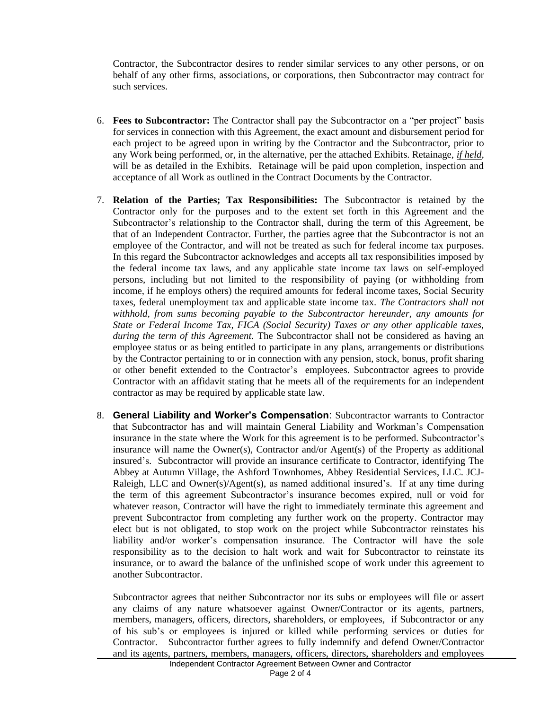Contractor, the Subcontractor desires to render similar services to any other persons, or on behalf of any other firms, associations, or corporations, then Subcontractor may contract for such services.

- 6. **Fees to Subcontractor:** The Contractor shall pay the Subcontractor on a "per project" basis for services in connection with this Agreement, the exact amount and disbursement period for each project to be agreed upon in writing by the Contractor and the Subcontractor, prior to any Work being performed, or, in the alternative, per the attached Exhibits. Retainage, *if held*, will be as detailed in the Exhibits. Retainage will be paid upon completion, inspection and acceptance of all Work as outlined in the Contract Documents by the Contractor.
- 7. **Relation of the Parties; Tax Responsibilities:** The Subcontractor is retained by the Contractor only for the purposes and to the extent set forth in this Agreement and the Subcontractor's relationship to the Contractor shall, during the term of this Agreement, be that of an Independent Contractor. Further, the parties agree that the Subcontractor is not an employee of the Contractor, and will not be treated as such for federal income tax purposes. In this regard the Subcontractor acknowledges and accepts all tax responsibilities imposed by the federal income tax laws, and any applicable state income tax laws on self-employed persons, including but not limited to the responsibility of paying (or withholding from income, if he employs others) the required amounts for federal income taxes, Social Security taxes, federal unemployment tax and applicable state income tax. *The Contractors shall not withhold, from sums becoming payable to the Subcontractor hereunder, any amounts for State or Federal Income Tax, FICA (Social Security) Taxes or any other applicable taxes, during the term of this Agreement.* The Subcontractor shall not be considered as having an employee status or as being entitled to participate in any plans, arrangements or distributions by the Contractor pertaining to or in connection with any pension, stock, bonus, profit sharing or other benefit extended to the Contractor's employees. Subcontractor agrees to provide Contractor with an affidavit stating that he meets all of the requirements for an independent contractor as may be required by applicable state law.
- 8. **General Liability and Worker's Compensation**: Subcontractor warrants to Contractor that Subcontractor has and will maintain General Liability and Workman's Compensation insurance in the state where the Work for this agreement is to be performed. Subcontractor's insurance will name the Owner(s), Contractor and/or Agent(s) of the Property as additional insured's. Subcontractor will provide an insurance certificate to Contractor, identifying The Abbey at Autumn Village, the Ashford Townhomes, Abbey Residential Services, LLC. JCJ-Raleigh, LLC and Owner(s)/Agent(s), as named additional insured's. If at any time during the term of this agreement Subcontractor's insurance becomes expired, null or void for whatever reason, Contractor will have the right to immediately terminate this agreement and prevent Subcontractor from completing any further work on the property. Contractor may elect but is not obligated, to stop work on the project while Subcontractor reinstates his liability and/or worker's compensation insurance. The Contractor will have the sole responsibility as to the decision to halt work and wait for Subcontractor to reinstate its insurance, or to award the balance of the unfinished scope of work under this agreement to another Subcontractor.

Subcontractor agrees that neither Subcontractor nor its subs or employees will file or assert any claims of any nature whatsoever against Owner/Contractor or its agents, partners, members, managers, officers, directors, shareholders, or employees, if Subcontractor or any of his sub's or employees is injured or killed while performing services or duties for Contractor. Subcontractor further agrees to fully indemnify and defend Owner/Contractor and its agents, partners, members, managers, officers, directors, shareholders and employees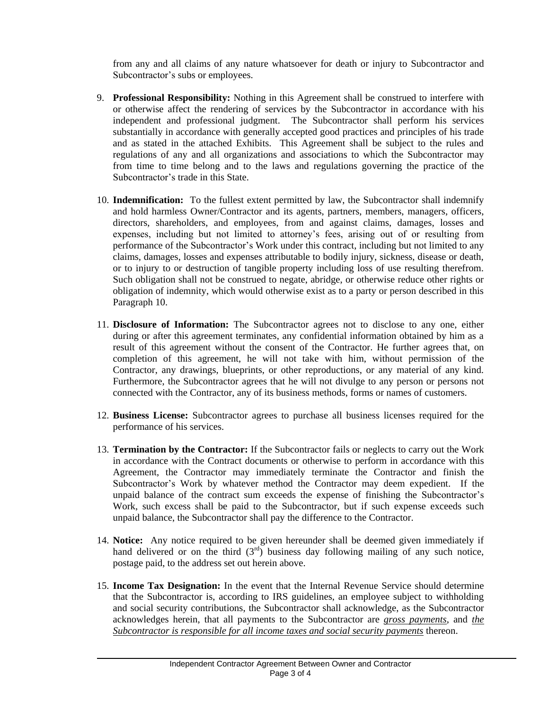from any and all claims of any nature whatsoever for death or injury to Subcontractor and Subcontractor's subs or employees.

- 9. **Professional Responsibility:** Nothing in this Agreement shall be construed to interfere with or otherwise affect the rendering of services by the Subcontractor in accordance with his independent and professional judgment. The Subcontractor shall perform his services substantially in accordance with generally accepted good practices and principles of his trade and as stated in the attached Exhibits. This Agreement shall be subject to the rules and regulations of any and all organizations and associations to which the Subcontractor may from time to time belong and to the laws and regulations governing the practice of the Subcontractor's trade in this State.
- 10. **Indemnification:** To the fullest extent permitted by law, the Subcontractor shall indemnify and hold harmless Owner/Contractor and its agents, partners, members, managers, officers, directors, shareholders, and employees, from and against claims, damages, losses and expenses, including but not limited to attorney's fees, arising out of or resulting from performance of the Subcontractor's Work under this contract, including but not limited to any claims, damages, losses and expenses attributable to bodily injury, sickness, disease or death, or to injury to or destruction of tangible property including loss of use resulting therefrom. Such obligation shall not be construed to negate, abridge, or otherwise reduce other rights or obligation of indemnity, which would otherwise exist as to a party or person described in this Paragraph 10.
- 11. **Disclosure of Information:** The Subcontractor agrees not to disclose to any one, either during or after this agreement terminates, any confidential information obtained by him as a result of this agreement without the consent of the Contractor. He further agrees that, on completion of this agreement, he will not take with him, without permission of the Contractor, any drawings, blueprints, or other reproductions, or any material of any kind. Furthermore, the Subcontractor agrees that he will not divulge to any person or persons not connected with the Contractor, any of its business methods, forms or names of customers.
- 12. **Business License:** Subcontractor agrees to purchase all business licenses required for the performance of his services.
- 13. **Termination by the Contractor:** If the Subcontractor fails or neglects to carry out the Work in accordance with the Contract documents or otherwise to perform in accordance with this Agreement, the Contractor may immediately terminate the Contractor and finish the Subcontractor's Work by whatever method the Contractor may deem expedient. If the unpaid balance of the contract sum exceeds the expense of finishing the Subcontractor's Work, such excess shall be paid to the Subcontractor, but if such expense exceeds such unpaid balance, the Subcontractor shall pay the difference to the Contractor.
- 14. **Notice:** Any notice required to be given hereunder shall be deemed given immediately if hand delivered or on the third  $(3<sup>rd</sup>)$  business day following mailing of any such notice, postage paid, to the address set out herein above.
- 15. **Income Tax Designation:** In the event that the Internal Revenue Service should determine that the Subcontractor is, according to IRS guidelines, an employee subject to withholding and social security contributions, the Subcontractor shall acknowledge, as the Subcontractor acknowledges herein, that all payments to the Subcontractor are *gross payments*, and *the Subcontractor is responsible for all income taxes and social security payments* thereon.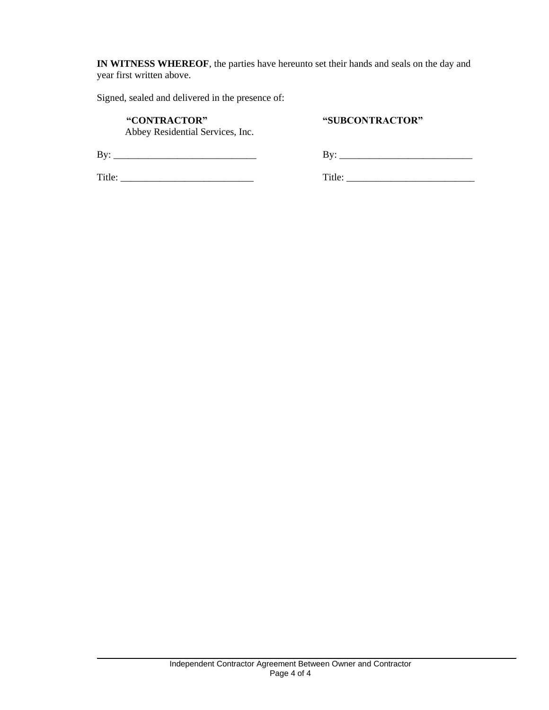**IN WITNESS WHEREOF**, the parties have hereunto set their hands and seals on the day and year first written above.

Signed, sealed and delivered in the presence of:

#### **"CONTRACTOR" "SUBCONTRACTOR"**

Abbey Residential Services, Inc.

By: \_\_\_\_\_\_\_\_\_\_\_\_\_\_\_\_\_\_\_\_\_\_\_\_\_\_\_\_\_ By: \_\_\_\_\_\_\_\_\_\_\_\_\_\_\_\_\_\_\_\_\_\_\_\_\_\_\_

Title: \_\_\_\_\_\_\_\_\_\_\_\_\_\_\_\_\_\_\_\_\_\_\_\_\_\_\_ Title: \_\_\_\_\_\_\_\_\_\_\_\_\_\_\_\_\_\_\_\_\_\_\_\_\_\_

| D.<br>٠ |  |  |  |
|---------|--|--|--|
|         |  |  |  |